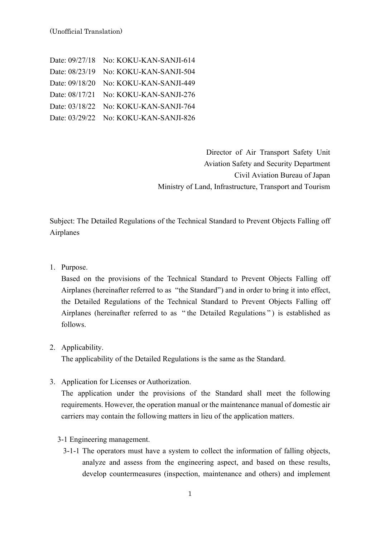| Date: 09/27/18 No: KOKU-KAN-SANJI-614 |
|---------------------------------------|
| Date: 08/23/19 No: KOKU-KAN-SANJI-504 |
| Date: 09/18/20 No: KOKU-KAN-SANJI-449 |
| Date: 08/17/21 No: KOKU-KAN-SANJI-276 |
| Date: 03/18/22 No: KOKU-KAN-SANJI-764 |
| Date: 03/29/22 No: KOKU-KAN-SANJI-826 |

Director of Air Transport Safety Unit Aviation Safety and Security Department Civil Aviation Bureau of Japan Ministry of Land, Infrastructure, Transport and Tourism

Subject: The Detailed Regulations of the Technical Standard to Prevent Objects Falling off Airplanes

1. Purpose.

Based on the provisions of the Technical Standard to Prevent Objects Falling off Airplanes (hereinafter referred to as "the Standard") and in order to bring it into effect, the Detailed Regulations of the Technical Standard to Prevent Objects Falling off Airplanes (hereinafter referred to as " the Detailed Regulations " ) is established as follows.

2. Applicability.

The applicability of the Detailed Regulations is the same as the Standard.

3. Application for Licenses or Authorization.

The application under the provisions of the Standard shall meet the following requirements. However, the operation manual or the maintenance manual of domestic air carriers may contain the following matters in lieu of the application matters.

- 3-1 Engineering management.
	- 3-1-1 The operators must have a system to collect the information of falling objects, analyze and assess from the engineering aspect, and based on these results, develop countermeasures (inspection, maintenance and others) and implement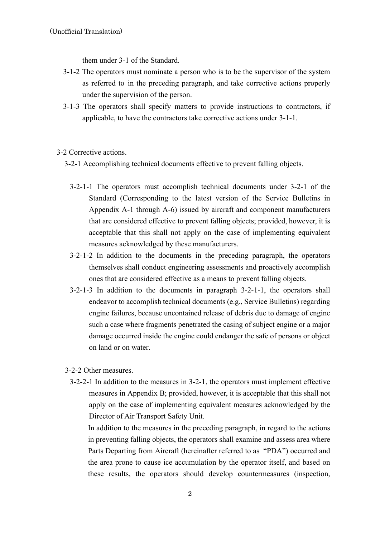them under 3-1 of the Standard.

- 3-1-2 The operators must nominate a person who is to be the supervisor of the system as referred to in the preceding paragraph, and take corrective actions properly under the supervision of the person.
- 3-1-3 The operators shall specify matters to provide instructions to contractors, if applicable, to have the contractors take corrective actions under 3-1-1.
- 3-2 Corrective actions.
	- 3-2-1 Accomplishing technical documents effective to prevent falling objects.
		- 3-2-1-1 The operators must accomplish technical documents under 3-2-1 of the Standard (Corresponding to the latest version of the Service Bulletins in Appendix A-1 through A-6) issued by aircraft and component manufacturers that are considered effective to prevent falling objects; provided, however, it is acceptable that this shall not apply on the case of implementing equivalent measures acknowledged by these manufacturers.
		- 3-2-1-2 In addition to the documents in the preceding paragraph, the operators themselves shall conduct engineering assessments and proactively accomplish ones that are considered effective as a means to prevent falling objects.
		- 3-2-1-3 In addition to the documents in paragraph 3-2-1-1, the operators shall endeavor to accomplish technical documents (e.g., Service Bulletins) regarding engine failures, because uncontained release of debris due to damage of engine such a case where fragments penetrated the casing of subject engine or a major damage occurred inside the engine could endanger the safe of persons or object on land or on water.
	- 3-2-2 Other measures.
		- 3-2-2-1 In addition to the measures in 3-2-1, the operators must implement effective measures in Appendix B; provided, however, it is acceptable that this shall not apply on the case of implementing equivalent measures acknowledged by the Director of Air Transport Safety Unit.

In addition to the measures in the preceding paragraph, in regard to the actions in preventing falling objects, the operators shall examine and assess area where Parts Departing from Aircraft (hereinafter referred to as "PDA") occurred and the area prone to cause ice accumulation by the operator itself, and based on these results, the operators should develop countermeasures (inspection,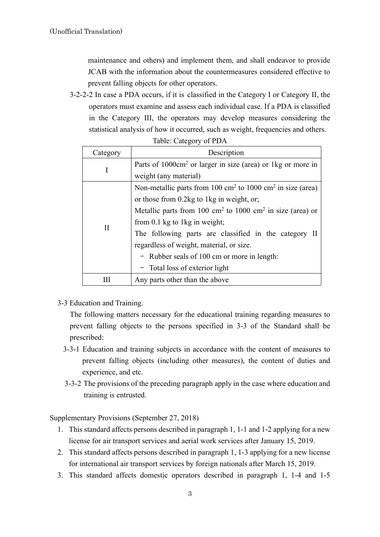maintenance and others) and implement them, and shall endeavor to provide JCAB with the information about the countermeasures considered effective to prevent falling objects for other operators.

3-2-2-2 In case a PDA occurs, if it is classified in the Category I or Category II, the operators must examine and assess each individual case. If a PDA is classified in the Category III, the operators may develop measures considering the statistical analysis of how it occurred, such as weight, frequencies and others.

| Category     | Description                                                                       |
|--------------|-----------------------------------------------------------------------------------|
| Ι            | Parts of 1000cm <sup>2</sup> or larger in size (area) or 1kg or more in           |
|              | weight (any material)                                                             |
| $\mathbf{I}$ | Non-metallic parts from $100 \text{ cm}^2$ to $1000 \text{ cm}^2$ in size (area)  |
|              | or those from 0.2kg to 1kg in weight, or,                                         |
|              | Metallic parts from 100 cm <sup>2</sup> to 1000 cm <sup>2</sup> in size (area) or |
|              | from $0.1$ kg to 1 kg in weight;                                                  |
|              | The following parts are classified in the category II                             |
|              | regardless of weight, material, or size.                                          |
|              | - Rubber seals of 100 cm or more in length:                                       |
|              | - Total loss of exterior light                                                    |
|              | Any parts other than the above                                                    |

Table: Category of PDA

3-3 Education and Training.

The following matters necessary for the educational training regarding measures to prevent falling objects to the persons specified in 3-3 of the Standard shall be prescribed:

- 3-3-1 Education and training subjects in accordance with the content of measures to prevent falling objects (including other measures), the content of duties and experience, and etc.
- 3-3-2 The provisions of the preceding paragraph apply in the case where education and training is entrusted.

Supplementary Provisions (September 27, 2018)

- 1. This standard affects persons described in paragraph 1, 1-1 and 1-2 applying for a new license for air transport services and aerial work services after January 15, 2019.
- 2. This standard affects persons described in paragraph 1, 1-3 applying for a new license for international air transport services by foreign nationals after March 15, 2019.
- 3. This standard affects domestic operators described in paragraph 1, 1-4 and 1-5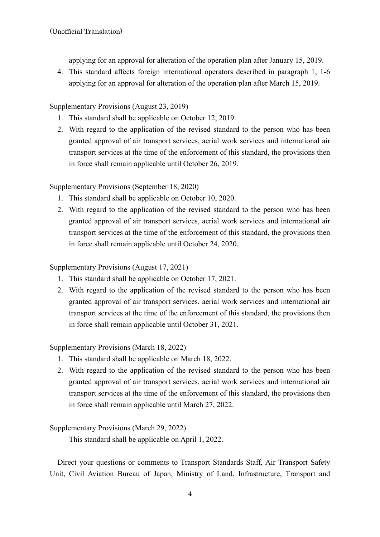applying for an approval for alteration of the operation plan after January 15, 2019.

4. This standard affects foreign international operators described in paragraph 1, 1-6 applying for an approval for alteration of the operation plan after March 15, 2019.

Supplementary Provisions (August 23, 2019)

- 1. This standard shall be applicable on October 12, 2019.
- 2. With regard to the application of the revised standard to the person who has been granted approval of air transport services, aerial work services and international air transport services at the time of the enforcement of this standard, the provisions then in force shall remain applicable until October 26, 2019.

Supplementary Provisions (September 18, 2020)

- 1. This standard shall be applicable on October 10, 2020.
- 2. With regard to the application of the revised standard to the person who has been granted approval of air transport services, aerial work services and international air transport services at the time of the enforcement of this standard, the provisions then in force shall remain applicable until October 24, 2020.

#### Supplementary Provisions (August 17, 2021)

- 1. This standard shall be applicable on October 17, 2021.
- 2. With regard to the application of the revised standard to the person who has been granted approval of air transport services, aerial work services and international air transport services at the time of the enforcement of this standard, the provisions then in force shall remain applicable until October 31, 2021.

#### Supplementary Provisions (March 18, 2022)

- 1. This standard shall be applicable on March 18, 2022.
- 2. With regard to the application of the revised standard to the person who has been granted approval of air transport services, aerial work services and international air transport services at the time of the enforcement of this standard, the provisions then in force shall remain applicable until March 27, 2022.

#### Supplementary Provisions (March 29, 2022)

This standard shall be applicable on April 1, 2022.

Direct your questions or comments to Transport Standards Staff, Air Transport Safety Unit, Civil Aviation Bureau of Japan, Ministry of Land, Infrastructure, Transport and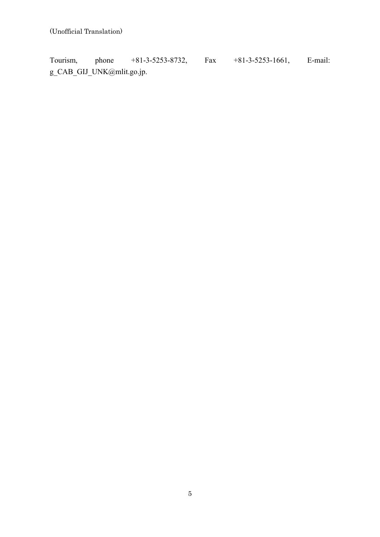Tourism, phone +81-3-5253-8732, Fax +81-3-5253-1661, E-mail: g\_CAB\_GIJ\_UNK@mlit.go.jp.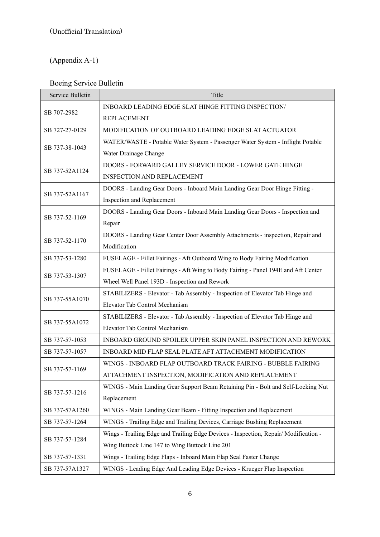# (Appendix A-1)

# Boeing Service Bulletin

| Service Bulletin | Title                                                                               |
|------------------|-------------------------------------------------------------------------------------|
| SB 707-2982      | INBOARD LEADING EDGE SLAT HINGE FITTING INSPECTION/                                 |
|                  | <b>REPLACEMENT</b>                                                                  |
| SB 727-27-0129   | MODIFICATION OF OUTBOARD LEADING EDGE SLAT ACTUATOR                                 |
|                  | WATER/WASTE - Potable Water System - Passenger Water System - Inflight Potable      |
| SB 737-38-1043   | Water Drainage Change                                                               |
|                  | DOORS - FORWARD GALLEY SERVICE DOOR - LOWER GATE HINGE                              |
| SB 737-52A1124   | <b>INSPECTION AND REPLACEMENT</b>                                                   |
|                  | DOORS - Landing Gear Doors - Inboard Main Landing Gear Door Hinge Fitting -         |
| SB 737-52A1167   | Inspection and Replacement                                                          |
| SB 737-52-1169   | DOORS - Landing Gear Doors - Inboard Main Landing Gear Doors - Inspection and       |
|                  | Repair                                                                              |
|                  | DOORS - Landing Gear Center Door Assembly Attachments - inspection, Repair and      |
| SB 737-52-1170   | Modification                                                                        |
| SB 737-53-1280   | FUSELAGE - Fillet Fairings - Aft Outboard Wing to Body Fairing Modification         |
|                  | FUSELAGE - Fillet Fairings - Aft Wing to Body Fairing - Panel 194E and Aft Center   |
| SB 737-53-1307   | Wheel Well Panel 193D - Inspection and Rework                                       |
|                  | STABILIZERS - Elevator - Tab Assembly - Inspection of Elevator Tab Hinge and        |
| SB 737-55A1070   | Elevator Tab Control Mechanism                                                      |
|                  | STABILIZERS - Elevator - Tab Assembly - Inspection of Elevator Tab Hinge and        |
| SB 737-55A1072   | Elevator Tab Control Mechanism                                                      |
| SB 737-57-1053   | INBOARD GROUND SPOILER UPPER SKIN PANEL INSPECTION AND REWORK                       |
| SB 737-57-1057   | INBOARD MID FLAP SEAL PLATE AFT ATTACHMENT MODIFICATION                             |
|                  | WINGS - INBOARD FLAP OUTBOARD TRACK FAIRING - BUBBLE FAIRING                        |
| SB 737-57-1169   | ATTACHMENT INSPECTION, MODIFICATION AND REPLACEMENT                                 |
|                  | WINGS - Main Landing Gear Support Beam Retaining Pin - Bolt and Self-Locking Nut    |
| SB 737-57-1216   | Replacement                                                                         |
| SB 737-57A1260   | WINGS - Main Landing Gear Beam - Fitting Inspection and Replacement                 |
| SB 737-57-1264   | WINGS - Trailing Edge and Trailing Devices, Carriage Bushing Replacement            |
|                  | Wings - Trailing Edge and Trailing Edge Devices - Inspection, Repair/Modification - |
| SB 737-57-1284   | Wing Buttock Line 147 to Wing Buttock Line 201                                      |
| SB 737-57-1331   | Wings - Trailing Edge Flaps - Inboard Main Flap Seal Faster Change                  |
| SB 737-57A1327   | WINGS - Leading Edge And Leading Edge Devices - Krueger Flap Inspection             |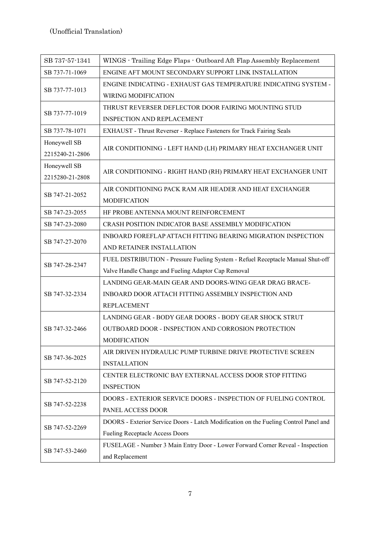| SB 737-57-1341                  | WINGS - Trailing Edge Flaps - Outboard Aft Flap Assembly Replacement                 |
|---------------------------------|--------------------------------------------------------------------------------------|
| SB 737-71-1069                  | ENGINE AFT MOUNT SECONDARY SUPPORT LINK INSTALLATION                                 |
| SB 737-77-1013                  | ENGINE INDICATING - EXHAUST GAS TEMPERATURE INDICATING SYSTEM -                      |
|                                 | WIRING MODIFICATION                                                                  |
| SB 737-77-1019                  | THRUST REVERSER DEFLECTOR DOOR FAIRING MOUNTING STUD                                 |
|                                 | <b>INSPECTION AND REPLACEMENT</b>                                                    |
| SB 737-78-1071                  | EXHAUST - Thrust Reverser - Replace Fasteners for Track Fairing Seals                |
| Honeywell SB                    | AIR CONDITIONING - LEFT HAND (LH) PRIMARY HEAT EXCHANGER UNIT                        |
| 2215240-21-2806                 |                                                                                      |
| Honeywell SB<br>2215280-21-2808 | AIR CONDITIONING - RIGHT HAND (RH) PRIMARY HEAT EXCHANGER UNIT                       |
|                                 | AIR CONDITIONING PACK RAM AIR HEADER AND HEAT EXCHANGER                              |
| SB 747-21-2052                  | <b>MODIFICATION</b>                                                                  |
| SB 747-23-2055                  | HF PROBE ANTENNA MOUNT REINFORCEMENT                                                 |
| SB 747-23-2080                  | CRASH POSITION INDICATOR BASE ASSEMBLY MODIFICATION                                  |
| SB 747-27-2070                  | INBOARD FOREFLAP ATTACH FITTING BEARING MIGRATION INSPECTION                         |
|                                 | AND RETAINER INSTALLATION                                                            |
| SB 747-28-2347                  | FUEL DISTRIBUTION - Pressure Fueling System - Refuel Receptacle Manual Shut-off      |
|                                 | Valve Handle Change and Fueling Adaptor Cap Removal                                  |
|                                 | LANDING GEAR-MAIN GEAR AND DOORS-WING GEAR DRAG BRACE-                               |
| SB 747-32-2334                  | INBOARD DOOR ATTACH FITTING ASSEMBLY INSPECTION AND                                  |
|                                 | <b>REPLACEMENT</b>                                                                   |
|                                 | LANDING GEAR - BODY GEAR DOORS - BODY GEAR SHOCK STRUT                               |
| SB 747-32-2466                  | OUTBOARD DOOR - INSPECTION AND CORROSION PROTECTION                                  |
|                                 | <b>MODIFICATION</b>                                                                  |
| SB 747-36-2025                  | AIR DRIVEN HYDRAULIC PUMP TURBINE DRIVE PROTECTIVE SCREEN                            |
|                                 | <b>INSTALLATION</b>                                                                  |
| SB 747-52-2120                  | CENTER ELECTRONIC BAY EXTERNAL ACCESS DOOR STOP FITTING                              |
|                                 | <b>INSPECTION</b>                                                                    |
| SB 747-52-2238                  | DOORS - EXTERIOR SERVICE DOORS - INSPECTION OF FUELING CONTROL                       |
|                                 | PANEL ACCESS DOOR                                                                    |
| SB 747-52-2269                  | DOORS - Exterior Service Doors - Latch Modification on the Fueling Control Panel and |
|                                 | <b>Fueling Receptacle Access Doors</b>                                               |
| SB 747-53-2460                  | FUSELAGE - Number 3 Main Entry Door - Lower Forward Corner Reveal - Inspection       |
|                                 | and Replacement                                                                      |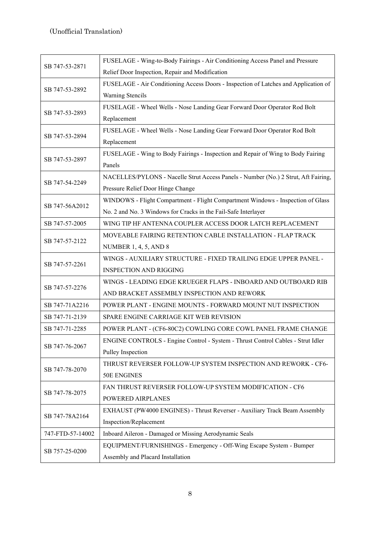| SB 747-53-2871   | FUSELAGE - Wing-to-Body Fairings - Air Conditioning Access Panel and Pressure       |
|------------------|-------------------------------------------------------------------------------------|
|                  | Relief Door Inspection, Repair and Modification                                     |
| SB 747-53-2892   | FUSELAGE - Air Conditioning Access Doors - Inspection of Latches and Application of |
|                  | Warning Stencils                                                                    |
| SB 747-53-2893   | FUSELAGE - Wheel Wells - Nose Landing Gear Forward Door Operator Rod Bolt           |
|                  | Replacement                                                                         |
| SB 747-53-2894   | FUSELAGE - Wheel Wells - Nose Landing Gear Forward Door Operator Rod Bolt           |
|                  | Replacement                                                                         |
|                  | FUSELAGE - Wing to Body Fairings - Inspection and Repair of Wing to Body Fairing    |
| SB 747-53-2897   | Panels                                                                              |
| SB 747-54-2249   | NACELLES/PYLONS - Nacelle Strut Access Panels - Number (No.) 2 Strut, Aft Fairing,  |
|                  | Pressure Relief Door Hinge Change                                                   |
| SB 747-56A2012   | WINDOWS - Flight Compartment - Flight Compartment Windows - Inspection of Glass     |
|                  | No. 2 and No. 3 Windows for Cracks in the Fail-Safe Interlayer                      |
| SB 747-57-2005   | WING TIP HF ANTENNA COUPLER ACCESS DOOR LATCH REPLACEMENT                           |
| SB 747-57-2122   | MOVEABLE FAIRING RETENTION CABLE INSTALLATION - FLAP TRACK                          |
|                  | <b>NUMBER 1, 4, 5, AND 8</b>                                                        |
| SB 747-57-2261   | WINGS - AUXILIARY STRUCTURE - FIXED TRAILING EDGE UPPER PANEL -                     |
|                  | <b>INSPECTION AND RIGGING</b>                                                       |
| SB 747-57-2276   | WINGS - LEADING EDGE KRUEGER FLAPS - INBOARD AND OUTBOARD RIB                       |
|                  | AND BRACKET ASSEMBLY INSPECTION AND REWORK                                          |
| SB 747-71A2216   | POWER PLANT - ENGINE MOUNTS - FORWARD MOUNT NUT INSPECTION                          |
| SB 747-71-2139   | SPARE ENGINE CARRIAGE KIT WEB REVISION                                              |
| SB 747-71-2285   | POWER PLANT - (CF6-80C2) COWLING CORE COWL PANEL FRAME CHANGE                       |
|                  | ENGINE CONTROLS - Engine Control - System - Thrust Control Cables - Strut Idler     |
| SB 747-76-2067   | Pulley Inspection                                                                   |
| SB 747-78-2070   | THRUST REVERSER FOLLOW-UP SYSTEM INSPECTION AND REWORK - CF6-                       |
|                  | 50E ENGINES                                                                         |
|                  | FAN THRUST REVERSER FOLLOW-UP SYSTEM MODIFICATION - CF6                             |
| SB 747-78-2075   | POWERED AIRPLANES                                                                   |
|                  | EXHAUST (PW4000 ENGINES) - Thrust Reverser - Auxiliary Track Beam Assembly          |
| SB 747-78A2164   | Inspection/Replacement                                                              |
| 747-FTD-57-14002 | Inboard Aileron - Damaged or Missing Aerodynamic Seals                              |
|                  | EQUIPMENT/FURNISHINGS - Emergency - Off-Wing Escape System - Bumper                 |
| SB 757-25-0200   | Assembly and Placard Installation                                                   |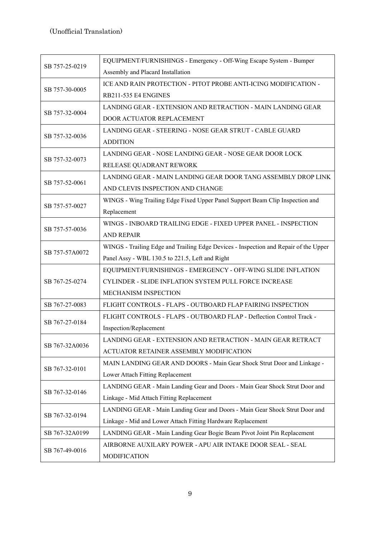| SB 757-25-0219 | EQUIPMENT/FURNISHINGS - Emergency - Off-Wing Escape System - Bumper                  |
|----------------|--------------------------------------------------------------------------------------|
|                | Assembly and Placard Installation                                                    |
| SB 757-30-0005 | ICE AND RAIN PROTECTION - PITOT PROBE ANTI-ICING MODIFICATION -                      |
|                | RB211-535 E4 ENGINES                                                                 |
|                | LANDING GEAR - EXTENSION AND RETRACTION - MAIN LANDING GEAR                          |
| SB 757-32-0004 | DOOR ACTUATOR REPLACEMENT                                                            |
|                | LANDING GEAR - STEERING - NOSE GEAR STRUT - CABLE GUARD                              |
| SB 757-32-0036 | <b>ADDITION</b>                                                                      |
|                | LANDING GEAR - NOSE LANDING GEAR - NOSE GEAR DOOR LOCK                               |
| SB 757-32-0073 | RELEASE QUADRANT REWORK                                                              |
|                | LANDING GEAR - MAIN LANDING GEAR DOOR TANG ASSEMBLY DROP LINK                        |
| SB 757-52-0061 | AND CLEVIS INSPECTION AND CHANGE                                                     |
|                | WINGS - Wing Trailing Edge Fixed Upper Panel Support Beam Clip Inspection and        |
| SB 757-57-0027 | Replacement                                                                          |
|                | WINGS - INBOARD TRAILING EDGE - FIXED UPPER PANEL - INSPECTION                       |
| SB 757-57-0036 | <b>AND REPAIR</b>                                                                    |
|                | WINGS - Trailing Edge and Trailing Edge Devices - Inspection and Repair of the Upper |
| SB 757-57A0072 | Panel Assy - WBL 130.5 to 221.5, Left and Right                                      |
|                | EQUIPMENT/FURNISHINGS - EMERGENCY - OFF-WING SLIDE INFLATION                         |
| SB 767-25-0274 | CYLINDER - SLIDE INFLATION SYSTEM PULL FORCE INCREASE                                |
|                | MECHANISM INSPECTION                                                                 |
| SB 767-27-0083 | FLIGHT CONTROLS - FLAPS - OUTBOARD FLAP FAIRING INSPECTION                           |
|                | FLIGHT CONTROLS - FLAPS - OUTBOARD FLAP - Deflection Control Track -                 |
| SB 767-27-0184 | Inspection/Replacement                                                               |
|                | LANDING GEAR - EXTENSION AND RETRACTION - MAIN GEAR RETRACT                          |
| SB 767-32A0036 | ACTUATOR RETAINER ASSEMBLY MODIFICATION                                              |
|                | MAIN LANDING GEAR AND DOORS - Main Gear Shock Strut Door and Linkage -               |
| SB 767-32-0101 | Lower Attach Fitting Replacement                                                     |
|                | LANDING GEAR - Main Landing Gear and Doors - Main Gear Shock Strut Door and          |
| SB 767-32-0146 | Linkage - Mid Attach Fitting Replacement                                             |
|                | LANDING GEAR - Main Landing Gear and Doors - Main Gear Shock Strut Door and          |
| SB 767-32-0194 | Linkage - Mid and Lower Attach Fitting Hardware Replacement                          |
| SB 767-32A0199 | LANDING GEAR - Main Landing Gear Bogie Beam Pivot Joint Pin Replacement              |
| SB 767-49-0016 | AIRBORNE AUXILARY POWER - APU AIR INTAKE DOOR SEAL - SEAL                            |
|                | <b>MODIFICATION</b>                                                                  |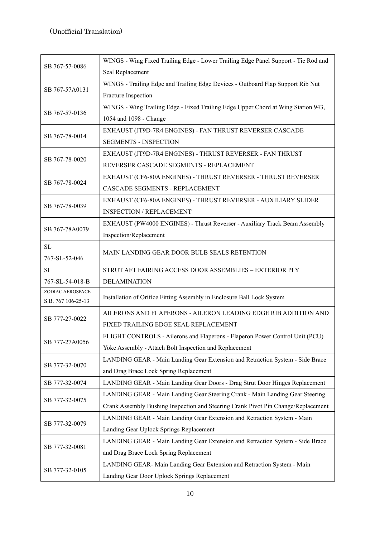| SB 767-57-0086     | WINGS - Wing Fixed Trailing Edge - Lower Trailing Edge Panel Support - Tie Rod and<br>Seal Replacement                 |
|--------------------|------------------------------------------------------------------------------------------------------------------------|
| SB 767-57A0131     | WINGS - Trailing Edge and Trailing Edge Devices - Outboard Flap Support Rib Nut                                        |
|                    | Fracture Inspection                                                                                                    |
|                    |                                                                                                                        |
| SB 767-57-0136     | WINGS - Wing Trailing Edge - Fixed Trailing Edge Upper Chord at Wing Station 943,                                      |
|                    | 1054 and 1098 - Change                                                                                                 |
| SB 767-78-0014     | EXHAUST (JT9D-7R4 ENGINES) - FAN THRUST REVERSER CASCADE                                                               |
|                    | <b>SEGMENTS - INSPECTION</b>                                                                                           |
| SB 767-78-0020     | EXHAUST (JT9D-7R4 ENGINES) - THRUST REVERSER - FAN THRUST                                                              |
|                    | REVERSER CASCADE SEGMENTS - REPLACEMENT                                                                                |
|                    | EXHAUST (CF6-80A ENGINES) - THRUST REVERSER - THRUST REVERSER                                                          |
| SB 767-78-0024     | CASCADE SEGMENTS - REPLACEMENT                                                                                         |
|                    | EXHAUST (CF6-80A ENGINES) - THRUST REVERSER - AUXILIARY SLIDER                                                         |
| SB 767-78-0039     | <b>INSPECTION / REPLACEMENT</b>                                                                                        |
|                    | EXHAUST (PW4000 ENGINES) - Thrust Reverser - Auxiliary Track Beam Assembly                                             |
| SB 767-78A0079     | Inspection/Replacement                                                                                                 |
| <b>SL</b>          |                                                                                                                        |
| 767-SL-52-046      | MAIN LANDING GEAR DOOR BULB SEALS RETENTION                                                                            |
|                    |                                                                                                                        |
| <b>SL</b>          | STRUT AFT FAIRING ACCESS DOOR ASSEMBLIES – EXTERIOR PLY                                                                |
| 767-SL-54-018-B    | <b>DELAMINATION</b>                                                                                                    |
| ZODIAC AEROSPACE   |                                                                                                                        |
| S.B. 767 106-25-13 | Installation of Orifice Fitting Assembly in Enclosure Ball Lock System                                                 |
|                    | AILERONS AND FLAPERONS - AILERON LEADING EDGE RIB ADDITION AND                                                         |
| SB 777-27-0022     | FIXED TRAILING EDGE SEAL REPLACEMENT                                                                                   |
|                    | FLIGHT CONTROLS - Ailerons and Flaperons - Flaperon Power Control Unit (PCU)                                           |
| SB 777-27A0056     | Yoke Assembly - Attach Bolt Inspection and Replacement                                                                 |
|                    | LANDING GEAR - Main Landing Gear Extension and Retraction System - Side Brace                                          |
| SB 777-32-0070     | and Drag Brace Lock Spring Replacement                                                                                 |
| SB 777-32-0074     | LANDING GEAR - Main Landing Gear Doors - Drag Strut Door Hinges Replacement                                            |
|                    | LANDING GEAR - Main Landing Gear Steering Crank - Main Landing Gear Steering                                           |
| SB 777-32-0075     | Crank Assembly Bushing Inspection and Steering Crank Pivot Pin Change/Replacement                                      |
|                    |                                                                                                                        |
| SB 777-32-0079     | LANDING GEAR - Main Landing Gear Extension and Retraction System - Main                                                |
|                    | Landing Gear Uplock Springs Replacement                                                                                |
| SB 777-32-0081     | LANDING GEAR - Main Landing Gear Extension and Retraction System - Side Brace                                          |
|                    | and Drag Brace Lock Spring Replacement                                                                                 |
| SB 777-32-0105     | LANDING GEAR- Main Landing Gear Extension and Retraction System - Main<br>Landing Gear Door Uplock Springs Replacement |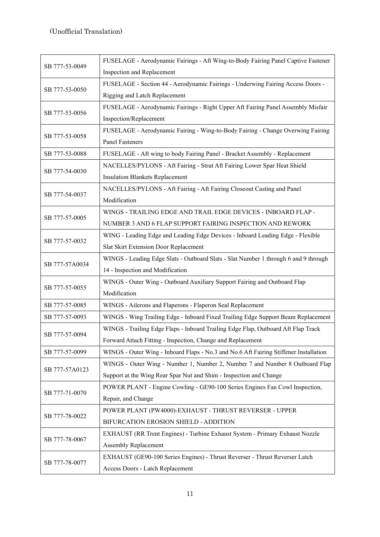| SB 777-53-0049 | FUSELAGE - Aerodynamic Fairings - Aft Wing-to-Body Fairing Panel Captive Fastener     |
|----------------|---------------------------------------------------------------------------------------|
|                | Inspection and Replacement                                                            |
| SB 777-53-0050 | FUSELAGE - Section 44 - Aerodynamic Fairings - Underwing Fairing Access Doors -       |
|                | Rigging and Latch Replacement                                                         |
| SB 777-53-0056 | FUSELAGE - Aerodynamic Fairings - Right Upper Aft Fairing Panel Assembly Misfair      |
|                | Inspection/Replacement                                                                |
|                | FUSELAGE - Aerodynamic Fairing - Wing-to-Body Fairing - Change Overwing Fairing       |
| SB 777-53-0058 | <b>Panel Fasteners</b>                                                                |
| SB 777-53-0088 | FUSELAGE - Aft wing to body Fairing Panel - Bracket Assembly - Replacement            |
|                | NACELLES/PYLONS - Aft Fairing - Strut Aft Fairing Lower Spar Heat Shield              |
| SB 777-54-0030 | <b>Insulation Blankets Replacement</b>                                                |
|                | NACELLES/PYLONS - Aft Fairing - Aft Fairing Closeout Casting and Panel                |
| SB 777-54-0037 | Modification                                                                          |
|                | WINGS - TRAILING EDGE AND TRAIL EDGE DEVICES - INBOARD FLAP -                         |
| SB 777-57-0005 | NUMBER 3 AND 6 FLAP SUPPORT FAIRING INSPECTION AND REWORK                             |
|                | WING - Leading Edge and Leading Edge Devices - Inboard Leading Edge - Flexible        |
| SB 777-57-0032 | Slat Skirt Extension Door Replacement                                                 |
|                | WINGS - Leading Edge Slats - Outboard Slats - Slat Number 1 through 6 and 9 through   |
| SB 777-57A0034 | 14 - Inspection and Modification                                                      |
|                | WINGS - Outer Wing - Outboard Auxiliary Support Fairing and Outboard Flap             |
| SB 777-57-0055 | Modification                                                                          |
| SB 777-57-0085 | WINGS - Ailerons and Flaperons - Flaperon Seal Replacement                            |
| SB 777-57-0093 | WINGS - Wing Trailing Edge - Inboard Fixed Trailing Edge Support Beam Replacement     |
| SB 777-57-0094 | WINGS - Trailing Edge Flaps - Inboard Trailing Edge Flap, Outboard Aft Flap Track     |
|                | Forward Attach Fitting - Inspection, Change and Replacement                           |
| SB 777-57-0099 | WINGS - Outer Wing - Inboard Flaps - No.3 and No.6 Aft Fairing Stiffener Installation |
|                | WINGS - Outer Wing - Number 1, Number 2, Number 7 and Number 8 Outboard Flap          |
| SB 777-57A0123 | Support at the Wing Rear Spar Nut and Shim - Inspection and Change                    |
|                | POWER PLANT - Engine Cowling - GE90-100 Series Engines Fan Cowl Inspection,           |
| SB 777-71-0070 | Repair, and Change                                                                    |
|                | POWER PLANT (PW4000)-EXHAUST - THRUST REVERSER - UPPER                                |
| SB 777-78-0022 | BIFURCATION EROSION SHIELD - ADDITION                                                 |
|                | EXHAUST (RR Trent Engines) - Turbine Exhaust System - Primary Exhaust Nozzle          |
| SB 777-78-0067 | Assembly Replacement                                                                  |
|                | EXHAUST (GE90-100 Series Engines) - Thrust Reverser - Thrust Reverser Latch           |
| SB 777-78-0077 | Access Doors - Latch Replacement                                                      |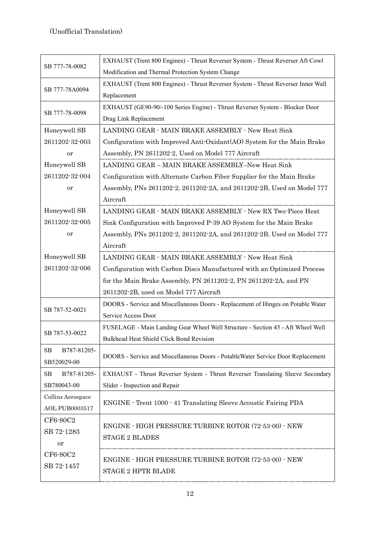| SB 777-78-0082        | EXHAUST (Trent 800 Engines) - Thrust Reverser System - Thrust Reverser Aft Cowl   |
|-----------------------|-----------------------------------------------------------------------------------|
|                       | Modification and Thermal Protection System Change                                 |
| SB 777-78A0094        | EXHAUST (Trent 800 Engines) - Thrust Reverser System - Thrust Reverser Inner Wall |
|                       | Replacement                                                                       |
| SB 777-78-0098        | EXHAUST (GE90-90/-100 Series Engine) - Thrust Reverser System - Blocker Door      |
|                       | Drag Link Replacement                                                             |
| Honeywell SB          | LANDING GEAR - MAIN BRAKE ASSEMBLY - New Heat Sink                                |
| 2611202-32-003        | Configuration with Improved Anti-Oxidant(AO) System for the Main Brake            |
| or                    | Assembly, PN 2611202-2, Used on Model 777 Aircraft                                |
| Honeywell SB          | LANDING GEAR - MAIN BRAKE ASSEMBLY-New Heat Sink                                  |
| 2611202-32-004        | Configuration with Alternate Carbon Fiber Supplier for the Main Brake             |
| or                    | Assembly, PNs 2611202-2, 2611202-2A, and 2611202-2B, Used on Model 777            |
|                       | Aircraft                                                                          |
| Honeywell SB          | LANDING GEAR - MAIN BRAKE ASSEMBLY - New RX Two-Piece Heat                        |
| 2611202-32-005        | Sink Configuration with Improved P-39 AO System for the Main Brake                |
| or                    | Assembly, PNs 2611202-2, 2611202-2A, and 2611202-2B, Used on Model 777            |
|                       | Aircraft                                                                          |
| Honeywell SB          | LANDING GEAR - MAIN BRAKE ASSEMBLY - New Heat Sink                                |
| 2611202-32-006        | Configuration with Carbon Discs Manufactured with an Optimized Process            |
|                       | for the Main Brake Assembly, PN 2611202-2, PN 2611202-2A, and PN                  |
|                       | 2611202-2B, used on Model 777 Aircraft                                            |
| SB 787-52-0021        | DOORS - Service and Miscellaneous Doors - Replacement of Hinges on Potable Water  |
|                       | Service Access Door                                                               |
| SB 787-53-0022        | FUSELAGE - Main Landing Gear Wheel Well Structure - Section 45 - Aft Wheel Well   |
|                       | Bulkhead Heat Shield Click Bond Revision                                          |
| SB<br>B787-81205-     | DOORS - Service and Miscellaneous Doors - PotableWater Service Door Replacement   |
| SB520029-00           |                                                                                   |
| SB<br>B787-81205-     | EXHAUST - Thrust Reverser System - Thrust Reverser Translating Sleeve Secondary   |
| SB780043-00           | Slider - Inspection and Repair                                                    |
| Collins Aerospace     | ENGINE - Trent 1000 - 41 Translating Sleeve Acoustic Fairing PDA                  |
| <b>AOL PUB0003517</b> |                                                                                   |
| CF6-80C2              | ENGINE - HIGH PRESSURE TURBINE ROTOR (72-53-00) - NEW                             |
| SB 72-1283            | <b>STAGE 2 BLADES</b>                                                             |
| or                    |                                                                                   |
| CF6-80C2              | ENGINE - HIGH PRESSURE TURBINE ROTOR (72-53-00) - NEW                             |
| SB 72-1457            | STAGE 2 HPTR BLADE                                                                |
|                       |                                                                                   |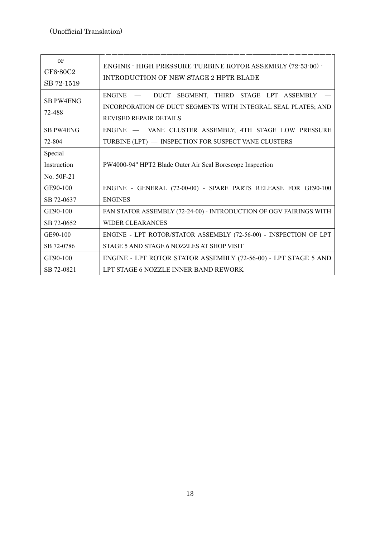| <b>or</b><br>CF6-80C2<br>SB 72-1519  | ENGINE - HIGH PRESSURE TURBINE ROTOR ASSEMBLY (72-53-00) -<br>INTRODUCTION OF NEW STAGE 2 HPTR BLADE                                              |
|--------------------------------------|---------------------------------------------------------------------------------------------------------------------------------------------------|
| <b>SB PW4ENG</b><br>72-488           | ENGINE - DUCT SEGMENT, THIRD STAGE LPT ASSEMBLY<br>INCORPORATION OF DUCT SEGMENTS WITH INTEGRAL SEAL PLATES; AND<br><b>REVISED REPAIR DETAILS</b> |
| <b>SB PW4ENG</b>                     | ENGINE - VANE CLUSTER ASSEMBLY, 4TH STAGE LOW PRESSURE                                                                                            |
| 72-804                               | TURBINE (LPT) - INSPECTION FOR SUSPECT VANE CLUSTERS                                                                                              |
| Special<br>Instruction<br>No. 50F-21 | PW4000-94" HPT2 Blade Outer Air Seal Borescope Inspection                                                                                         |
| GE90-100<br>SB 72-0637               | ENGINE - GENERAL (72-00-00) - SPARE PARTS RELEASE FOR GE90-100<br><b>ENGINES</b>                                                                  |
| GE90-100<br>SB 72-0652               | FAN STATOR ASSEMBLY (72-24-00) - INTRODUCTION OF OGV FAIRINGS WITH<br><b>WIDER CLEARANCES</b>                                                     |
| GE90-100<br>SB 72-0786               | ENGINE - LPT ROTOR/STATOR ASSEMBLY (72-56-00) - INSPECTION OF LPT<br>STAGE 5 AND STAGE 6 NOZZLES AT SHOP VISIT                                    |
| GE90-100<br>SB 72-0821               | ENGINE - LPT ROTOR STATOR ASSEMBLY (72-56-00) - LPT STAGE 5 AND<br>LPT STAGE 6 NOZZLE INNER BAND REWORK                                           |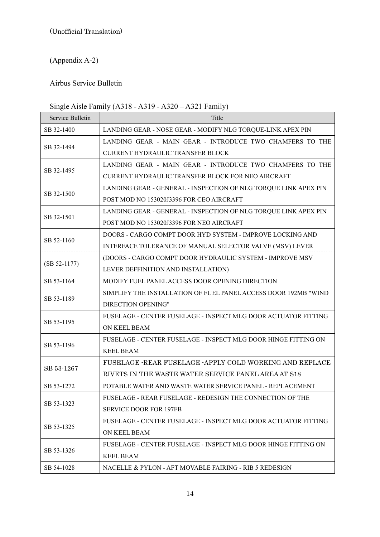(Appendix A-2)

## Airbus Service Bulletin

# Single Aisle Family (A318 - A319 - A320 – A321 Family)

| Service Bulletin | Title                                                           |
|------------------|-----------------------------------------------------------------|
| SB 32-1400       | LANDING GEAR - NOSE GEAR - MODIFY NLG TORQUE-LINK APEX PIN      |
| SB 32-1494       | LANDING GEAR - MAIN GEAR - INTRODUCE TWO CHAMFERS TO THE        |
|                  | CURRENT HYDRAULIC TRANSFER BLOCK                                |
|                  | LANDING GEAR - MAIN GEAR - INTRODUCE TWO CHAMFERS TO THE        |
| SB 32-1495       | CURRENT HYDRAULIC TRANSFER BLOCK FOR NEO AIRCRAFT               |
|                  | LANDING GEAR - GENERAL - INSPECTION OF NLG TORQUE LINK APEX PIN |
| SB 32-1500       | POST MOD NO 153020J3396 FOR CEO AIRCRAFT                        |
|                  | LANDING GEAR - GENERAL - INSPECTION OF NLG TORQUE LINK APEX PIN |
| SB 32-1501       | POST MOD NO 153020J3396 FOR NEO AIRCRAFT                        |
|                  | DOORS - CARGO COMPT DOOR HYD SYSTEM - IMPROVE LOCKING AND       |
| SB 52-1160       | INTERFACE TOLERANCE OF MANUAL SELECTOR VALVE (MSV) LEVER        |
|                  | (DOORS - CARGO COMPT DOOR HYDRAULIC SYSTEM - IMPROVE MSV        |
| $(SB 52-1177)$   | LEVER DEFFINITION AND INSTALLATION)                             |
| SB 53-1164       | MODIFY FUEL PANEL ACCESS DOOR OPENING DIRECTION                 |
|                  | SIMPLIFY THE INSTALLATION OF FUEL PANEL ACCESS DOOR 192MB "WIND |
| SB 53-1189       | <b>DIRECTION OPENING"</b>                                       |
|                  | FUSELAGE - CENTER FUSELAGE - INSPECT MLG DOOR ACTUATOR FITTING  |
| SB 53-1195       | ON KEEL BEAM                                                    |
|                  | FUSELAGE - CENTER FUSELAGE - INSPECT MLG DOOR HINGE FITTING ON  |
| SB 53-1196       | <b>KEEL BEAM</b>                                                |
|                  | FUSELAGE -REAR FUSELAGE -APPLY COLD WORKING AND REPLACE         |
| SB 53-1267       | RIVETS IN THE WASTE WATER SERVICE PANEL AREA AT S18             |
| SB 53-1272       | POTABLE WATER AND WASTE WATER SERVICE PANEL - REPLACEMENT       |
|                  | FUSELAGE - REAR FUSELAGE - REDESIGN THE CONNECTION OF THE       |
| SB 53-1323       | <b>SERVICE DOOR FOR 197FB</b>                                   |
| SB 53-1325       | FUSELAGE - CENTER FUSELAGE - INSPECT MLG DOOR ACTUATOR FITTING  |
|                  | ON KEEL BEAM                                                    |
| SB 53-1326       | FUSELAGE - CENTER FUSELAGE - INSPECT MLG DOOR HINGE FITTING ON  |
|                  | <b>KEEL BEAM</b>                                                |
| SB 54-1028       | NACELLE & PYLON - AFT MOVABLE FAIRING - RIB 5 REDESIGN          |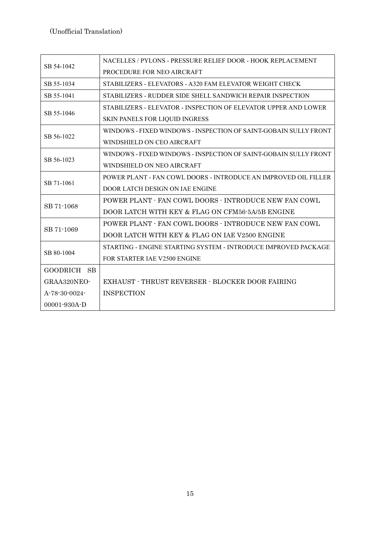| SB 54-1042         | NACELLES / PYLONS - PRESSURE RELIEF DOOR - HOOK REPLACEMENT      |
|--------------------|------------------------------------------------------------------|
|                    | PROCEDURE FOR NEO AIRCRAFT                                       |
| SB 55-1034         | STABILIZERS - ELEVATORS - A320 FAM ELEVATOR WEIGHT CHECK         |
| SB 55-1041         | STABILIZERS - RUDDER SIDE SHELL SANDWICH REPAIR INSPECTION       |
| SB 55-1046         | STABILIZERS - ELEVATOR - INSPECTION OF ELEVATOR UPPER AND LOWER  |
|                    | <b>SKIN PANELS FOR LIQUID INGRESS</b>                            |
| SB 56-1022         | WINDOWS - FIXED WINDOWS - INSPECTION OF SAINT-GOBAIN SULLY FRONT |
|                    | WINDSHIELD ON CEO AIRCRAFT                                       |
| SB 56-1023         | WINDOWS - FIXED WINDOWS - INSPECTION OF SAINT-GOBAIN SULLY FRONT |
|                    | WINDSHIELD ON NEO AIRCRAFT                                       |
|                    | POWER PLANT - FAN COWL DOORS - INTRODUCE AN IMPROVED OIL FILLER  |
| SB 71-1061         | <b>DOOR LATCH DESIGN ON IAE ENGINE</b>                           |
|                    | POWER PLANT - FAN COWL DOORS - INTRODUCE NEW FAN COWL            |
| SB 71-1068         | DOOR LATCH WITH KEY & FLAG ON CFM56-5A/5B ENGINE                 |
|                    | POWER PLANT - FAN COWL DOORS - INTRODUCE NEW FAN COWL            |
| SB 71-1069         | DOOR LATCH WITH KEY & FLAG ON IAE V2500 ENGINE                   |
| SB 80-1004         | STARTING - ENGINE STARTING SYSTEM - INTRODUCE IMPROVED PACKAGE   |
|                    | FOR STARTER JAE V2500 ENGINE                                     |
| GOODRICH SB        |                                                                  |
| GRAA320NEO-        | EXHAUST - THRUST REVERSER - BLOCKER DOOR FAIRING                 |
| A-78-30-0024-      | <b>INSPECTION</b>                                                |
| $00001 - 930A - D$ |                                                                  |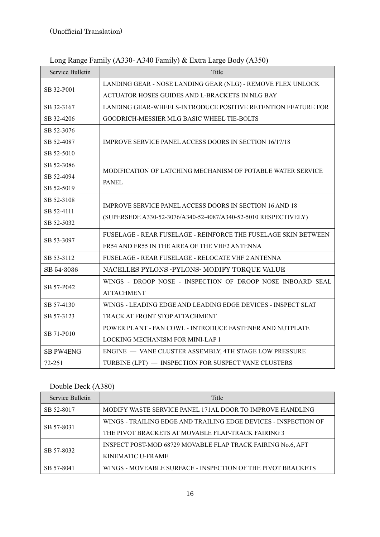| Service Bulletin | Title                                                           |
|------------------|-----------------------------------------------------------------|
| SB 32-P001       | LANDING GEAR - NOSE LANDING GEAR (NLG) - REMOVE FLEX UNLOCK     |
|                  | ACTUATOR HOSES GUIDES AND L-BRACKETS IN NLG BAY                 |
| SB 32-3167       | LANDING GEAR-WHEELS-INTRODUCE POSITIVE RETENTION FEATURE FOR    |
| SB 32-4206       | GOODRICH-MESSIER MLG BASIC WHEEL TIE-BOLTS                      |
| SB 52-3076       |                                                                 |
| SB 52-4087       | IMPROVE SERVICE PANEL ACCESS DOORS IN SECTION 16/17/18          |
| SB 52-5010       |                                                                 |
| SB 52-3086       |                                                                 |
| SB 52-4094       | MODIFICATION OF LATCHING MECHANISM OF POTABLE WATER SERVICE     |
| SB 52-5019       | <b>PANEL</b>                                                    |
| SB 52-3108       |                                                                 |
| SB 52-4111       | IMPROVE SERVICE PANEL ACCESS DOORS IN SECTION 16 AND 18         |
| SB 52-5032       | (SUPERSEDE A330-52-3076/A340-52-4087/A340-52-5010 RESPECTIVELY) |
|                  | FUSELAGE - REAR FUSELAGE - REINFORCE THE FUSELAGE SKIN BETWEEN  |
| SB 53-3097       | FR54 AND FR55 IN THE AREA OF THE VHF2 ANTENNA                   |
| SB 53-3112       | FUSELAGE - REAR FUSELAGE - RELOCATE VHF 2 ANTENNA               |
| SB 54-3036       | NACELLES PYLONS - PYLONS - MODIFY TORQUE VALUE                  |
|                  | WINGS - DROOP NOSE - INSPECTION OF DROOP NOSE INBOARD SEAL      |
| SB 57-P042       | <b>ATTACHMENT</b>                                               |
| SB 57-4130       | WINGS - LEADING EDGE AND LEADING EDGE DEVICES - INSPECT SLAT    |
| SB 57-3123       | TRACK AT FRONT STOP ATTACHMENT                                  |
| SB 71-P010       | POWER PLANT - FAN COWL - INTRODUCE FASTENER AND NUTPLATE        |
|                  | LOCKING MECHANISM FOR MINI-LAP 1                                |
| <b>SB PW4ENG</b> | <b>ENGINE — VANE CLUSTER ASSEMBLY, 4TH STAGE LOW PRESSURE</b>   |
| $72 - 251$       | TURBINE (LPT) - INSPECTION FOR SUSPECT VANE CLUSTERS            |

Long Range Family (A330- A340 Family) & Extra Large Body (A350)

#### Double Deck (A380)

| Service Bulletin | Title                                                           |
|------------------|-----------------------------------------------------------------|
| SB 52-8017       | MODIFY WASTE SERVICE PANEL 171AL DOOR TO IMPROVE HANDLING       |
| SB 57-8031       | WINGS - TRAILING EDGE AND TRAILING EDGE DEVICES - INSPECTION OF |
|                  | THE PIVOT BRACKETS AT MOVABLE FLAP-TRACK FAIRING 3              |
| SB 57-8032       | INSPECT POST-MOD 68729 MOVABLE FLAP TRACK FAIRING No.6, AFT     |
|                  | KINEMATIC U-FRAME                                               |
| SB 57-8041       | WINGS - MOVEABLE SURFACE - INSPECTION OF THE PIVOT BRACKETS     |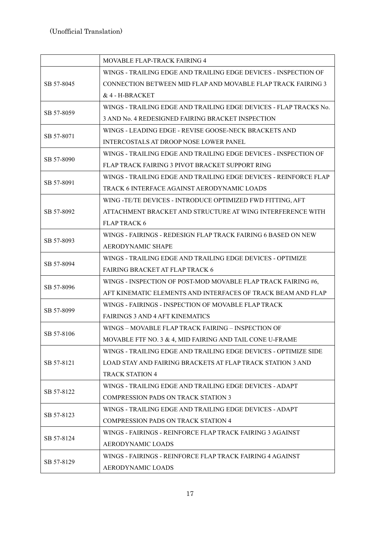|            | <b>MOVABLE FLAP-TRACK FAIRING 4</b>                                 |
|------------|---------------------------------------------------------------------|
| SB 57-8045 | WINGS - TRAILING EDGE AND TRAILING EDGE DEVICES - INSPECTION OF     |
|            | <b>CONNECTION BETWEEN MID FLAP AND MOVABLE FLAP TRACK FAIRING 3</b> |
|            | & 4 - H-BRACKET                                                     |
|            | WINGS - TRAILING EDGE AND TRAILING EDGE DEVICES - FLAP TRACKS No.   |
| SB 57-8059 | 3 AND No. 4 REDESIGNED FAIRING BRACKET INSPECTION                   |
|            | WINGS - LEADING EDGE - REVISE GOOSE-NECK BRACKETS AND               |
| SB 57-8071 | INTERCOSTALS AT DROOP NOSE LOWER PANEL                              |
|            | WINGS - TRAILING EDGE AND TRAILING EDGE DEVICES - INSPECTION OF     |
| SB 57-8090 | FLAP TRACK FAIRING 3 PIVOT BRACKET SUPPORT RING                     |
|            | WINGS - TRAILING EDGE AND TRAILING EDGE DEVICES - REINFORCE FLAP    |
| SB 57-8091 | TRACK 6 INTERFACE AGAINST AERODYNAMIC LOADS                         |
|            | WING -TE/TE DEVICES - INTRODUCE OPTIMIZED FWD FITTING, AFT          |
| SB 57-8092 | ATTACHMENT BRACKET AND STRUCTURE AT WING INTERFERENCE WITH          |
|            | <b>FLAP TRACK 6</b>                                                 |
|            | WINGS - FAIRINGS - REDESIGN FLAP TRACK FAIRING 6 BASED ON NEW       |
| SB 57-8093 | AERODYNAMIC SHAPE                                                   |
|            | WINGS - TRAILING EDGE AND TRAILING EDGE DEVICES - OPTIMIZE          |
| SB 57-8094 | FAIRING BRACKET AT FLAP TRACK 6                                     |
|            | WINGS - INSPECTION OF POST-MOD MOVABLE FLAP TRACK FAIRING #6,       |
| SB 57-8096 | AFT KINEMATIC ELEMENTS AND INTERFACES OF TRACK BEAM AND FLAP        |
|            | WINGS - FAIRINGS - INSPECTION OF MOVABLE FLAP TRACK                 |
| SB 57-8099 | FAIRINGS 3 AND 4 AFT KINEMATICS                                     |
|            | WINGS - MOVABLE FLAP TRACK FAIRING - INSPECTION OF                  |
| SB 57-8106 | MOVABLE FTF NO. 3 & 4, MID FAIRING AND TAIL CONE U-FRAME            |
|            | WINGS - TRAILING EDGE AND TRAILING EDGE DEVICES - OPTIMIZE SIDE     |
| SB 57-8121 | LOAD STAY AND FAIRING BRACKETS AT FLAP TRACK STATION 3 AND          |
|            | <b>TRACK STATION 4</b>                                              |
|            | WINGS - TRAILING EDGE AND TRAILING EDGE DEVICES - ADAPT             |
| SB 57-8122 | <b>COMPRESSION PADS ON TRACK STATION 3</b>                          |
|            | WINGS - TRAILING EDGE AND TRAILING EDGE DEVICES - ADAPT             |
| SB 57-8123 | <b>COMPRESSION PADS ON TRACK STATION 4</b>                          |
| SB 57-8124 | WINGS - FAIRINGS - REINFORCE FLAP TRACK FAIRING 3 AGAINST           |
|            | <b>AERODYNAMIC LOADS</b>                                            |
| SB 57-8129 | WINGS - FAIRINGS - REINFORCE FLAP TRACK FAIRING 4 AGAINST           |
|            | AERODYNAMIC LOADS                                                   |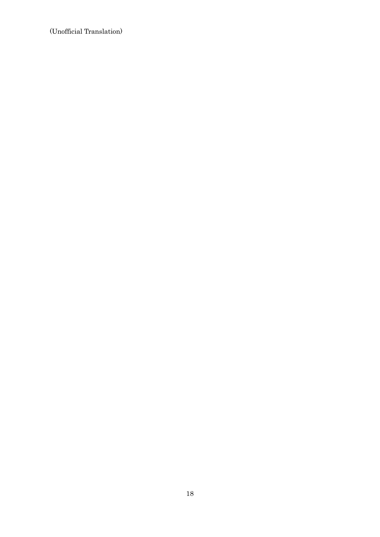(Unofficial Translation)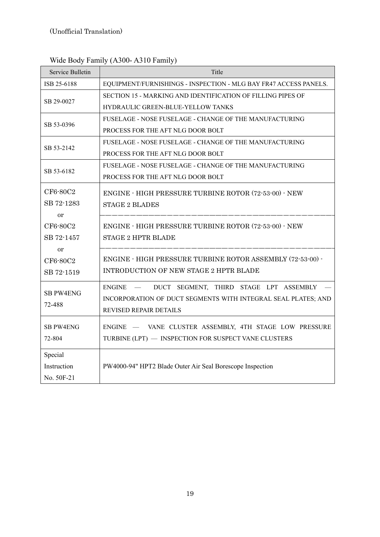Wide Body Family (A300- A310 Family)

| Service Bulletin | Title                                                            |
|------------------|------------------------------------------------------------------|
| ISB 25-6188      | EQUIPMENT/FURNISHINGS - INSPECTION - MLG BAY FR47 ACCESS PANELS. |
| SB 29-0027       | SECTION 15 - MARKING AND IDENTIFICATION OF FILLING PIPES OF      |
|                  | <b>HYDRAULIC GREEN-BLUE-YELLOW TANKS</b>                         |
|                  | FUSELAGE - NOSE FUSELAGE - CHANGE OF THE MANUFACTURING           |
| SB 53-0396       | PROCESS FOR THE AFT NLG DOOR BOLT                                |
|                  | FUSELAGE - NOSE FUSELAGE - CHANGE OF THE MANUFACTURING           |
| SB 53-2142       | PROCESS FOR THE AFT NLG DOOR BOLT                                |
| SB 53-6182       | FUSELAGE - NOSE FUSELAGE - CHANGE OF THE MANUFACTURING           |
|                  | PROCESS FOR THE AFT NLG DOOR BOLT                                |
| CF6-80C2         | ENGINE - HIGH PRESSURE TURBINE ROTOR (72-53-00) - NEW            |
| SB 72-1283       | <b>STAGE 2 BLADES</b>                                            |
| or               |                                                                  |
| CF6-80C2         | ENGINE - HIGH PRESSURE TURBINE ROTOR (72-53-00) - NEW            |
| SB 72-1457       | <b>STAGE 2 HPTR BLADE</b>                                        |
| or               |                                                                  |
| CF6-80C2         | ENGINE - HIGH PRESSURE TURBINE ROTOR ASSEMBLY (72-53-00) -       |
| SB 72-1519       | <b>INTRODUCTION OF NEW STAGE 2 HPTR BLADE</b>                    |
|                  | $ENGINE$ —<br>DUCT SEGMENT, THIRD STAGE LPT ASSEMBLY             |
| <b>SB PW4ENG</b> | INCORPORATION OF DUCT SEGMENTS WITH INTEGRAL SEAL PLATES; AND    |
| 72-488           | REVISED REPAIR DETAILS                                           |
|                  |                                                                  |
| SB PW4ENG        | ENGINE - VANE CLUSTER ASSEMBLY, 4TH STAGE LOW PRESSURE           |
| 72-804           | TURBINE (LPT) - INSPECTION FOR SUSPECT VANE CLUSTERS             |
| Special          |                                                                  |
| Instruction      | PW4000-94" HPT2 Blade Outer Air Seal Borescope Inspection        |
| No. 50F-21       |                                                                  |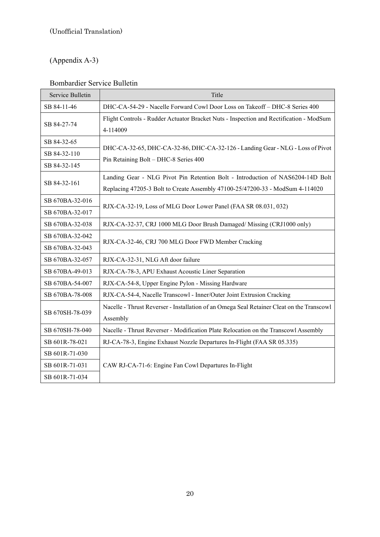## (Appendix A-3)

#### Bombardier Service Bulletin

| Service Bulletin | Title                                                                                                                                                           |
|------------------|-----------------------------------------------------------------------------------------------------------------------------------------------------------------|
| SB 84-11-46      | DHC-CA-54-29 - Nacelle Forward Cowl Door Loss on Takeoff - DHC-8 Series 400                                                                                     |
| SB 84-27-74      | Flight Controls - Rudder Actuator Bracket Nuts - Inspection and Rectification - ModSum<br>4-114009                                                              |
| SB 84-32-65      |                                                                                                                                                                 |
| SB 84-32-110     | DHC-CA-32-65, DHC-CA-32-86, DHC-CA-32-126 - Landing Gear - NLG - Loss of Pivot                                                                                  |
| SB 84-32-145     | Pin Retaining Bolt - DHC-8 Series 400                                                                                                                           |
| SB 84-32-161     | Landing Gear - NLG Pivot Pin Retention Bolt - Introduction of NAS6204-14D Bolt<br>Replacing 47205-3 Bolt to Create Assembly 47100-25/47200-33 - ModSum 4-114020 |
| SB 670BA-32-016  |                                                                                                                                                                 |
| SB 670BA-32-017  | RJX-CA-32-19, Loss of MLG Door Lower Panel (FAA SR 08.031, 032)                                                                                                 |
| SB 670BA-32-038  | RJX-CA-32-37, CRJ 1000 MLG Door Brush Damaged/ Missing (CRJ1000 only)                                                                                           |
| SB 670BA-32-042  |                                                                                                                                                                 |
| SB 670BA-32-043  | RJX-CA-32-46, CRJ 700 MLG Door FWD Member Cracking                                                                                                              |
| SB 670BA-32-057  | RJX-CA-32-31, NLG Aft door failure                                                                                                                              |
| SB 670BA-49-013  | RJX-CA-78-3, APU Exhaust Acoustic Liner Separation                                                                                                              |
| SB 670BA-54-007  | RJX-CA-54-8, Upper Engine Pylon - Missing Hardware                                                                                                              |
| SB 670BA-78-008  | RJX-CA-54-4, Nacelle Transcowl - Inner/Outer Joint Extrusion Cracking                                                                                           |
| SB 670SH-78-039  | Nacelle - Thrust Reverser - Installation of an Omega Seal Retainer Cleat on the Transcowl                                                                       |
|                  | Assembly                                                                                                                                                        |
| SB 670SH-78-040  | Nacelle - Thrust Reverser - Modification Plate Relocation on the Transcowl Assembly                                                                             |
| SB 601R-78-021   | RJ-CA-78-3, Engine Exhaust Nozzle Departures In-Flight (FAA SR 05.335)                                                                                          |
| SB 601R-71-030   | CAW RJ-CA-71-6: Engine Fan Cowl Departures In-Flight                                                                                                            |
| SB 601R-71-031   |                                                                                                                                                                 |
| SB 601R-71-034   |                                                                                                                                                                 |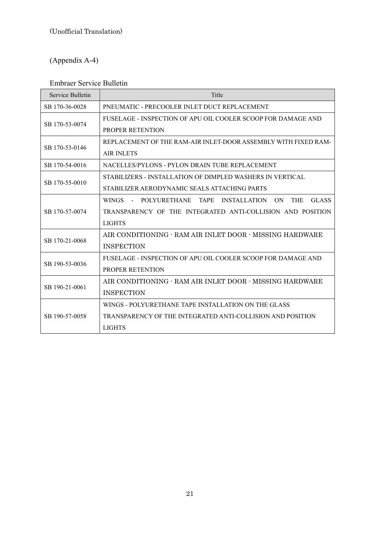## (Appendix A-4)

#### Embraer Service Bulletin

| Service Bulletin | Title                                                                                                            |
|------------------|------------------------------------------------------------------------------------------------------------------|
| SB 170-36-0028   | PNEUMATIC - PRECOOLER INLET DUCT REPLACEMENT                                                                     |
| SB 170-53-0074   | FUSELAGE - INSPECTION OF APU OIL COOLER SCOOP FOR DAMAGE AND                                                     |
|                  | PROPER RETENTION                                                                                                 |
|                  | REPLACEMENT OF THE RAM-AIR INLET-DOOR ASSEMBLY WITH FIXED RAM-                                                   |
| SB 170-53-0146   | <b>AIR INLETS</b>                                                                                                |
| SB 170-54-0016   | NACELLES/PYLONS - PYLON DRAIN TUBE REPLACEMENT                                                                   |
| SB 170-55-0010   | STABILIZERS - INSTALLATION OF DIMPLED WASHERS IN VERTICAL                                                        |
|                  | STABILIZER AERODYNAMIC SEALS ATTACHING PARTS                                                                     |
|                  | WINGS<br><b>POLYURETHANE</b><br><b>TAPE</b><br><b>INSTALLATION</b><br>ON<br><b>THE</b><br><b>GLASS</b><br>$\sim$ |
| SB 170-57-0074   | TRANSPARENCY OF THE INTEGRATED ANTI-COLLISION AND POSITION                                                       |
|                  | <b>LIGHTS</b>                                                                                                    |
|                  | AIR CONDITIONING - RAM AIR INLET DOOR - MISSING HARDWARE                                                         |
| SB 170-21-0068   | <b>INSPECTION</b>                                                                                                |
|                  | FUSELAGE - INSPECTION OF APU OIL COOLER SCOOP FOR DAMAGE AND                                                     |
| SB 190-53-0036   | PROPER RETENTION                                                                                                 |
| SB 190-21-0061   | AIR CONDITIONING - RAM AIR INLET DOOR - MISSING HARDWARE                                                         |
|                  | <b>INSPECTION</b>                                                                                                |
| SB 190-57-0058   | WINGS - POLYURETHANE TAPE INSTALLATION ON THE GLASS                                                              |
|                  | TRANSPARENCY OF THE INTEGRATED ANTI-COLLISION AND POSITION                                                       |
|                  | <b>LIGHTS</b>                                                                                                    |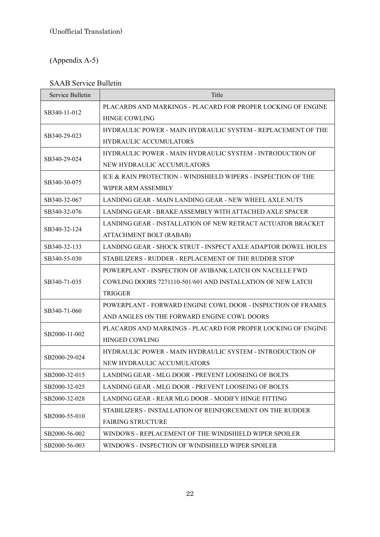## (Appendix A-5)

### SAAB Service Bulletin

| Service Bulletin | Title                                                         |
|------------------|---------------------------------------------------------------|
| SB340-11-012     | PLACARDS AND MARKINGS - PLACARD FOR PROPER LOCKING OF ENGINE  |
|                  | <b>HINGE COWLING</b>                                          |
|                  | HYDRAULIC POWER - MAIN HYDRAULIC SYSTEM - REPLACEMENT OF THE  |
| SB340-29-023     | <b>HYDRAULIC ACCUMULATORS</b>                                 |
|                  | HYDRAULIC POWER - MAIN HYDRAULIC SYSTEM - INTRODUCTION OF     |
| SB340-29-024     | NEW HYDRAULIC ACCUMULATORS                                    |
|                  | ICE & RAIN PROTECTION - WINDSHIELD WIPERS - INSPECTION OF THE |
| SB340-30-075     | WIPER ARM ASSEMBLY                                            |
| SB340-32-067     | LANDING GEAR - MAIN LANDING GEAR - NEW WHEEL AXLE NUTS        |
| SB340-32-076     | LANDING GEAR - BRAKE ASSEMBLY WITH ATTACHED AXLE SPACER       |
|                  | LANDING GEAR - INSTALLATION OF NEW RETRACT ACTUATOR BRACKET   |
| SB340-32-124     | ATTACHMENT BOLT (RABAB)                                       |
| SB340-32-133     | LANDING GEAR - SHOCK STRUT - INSPECT AXLE ADAPTOR DOWEL HOLES |
| SB340-55-030     | STABILIZERS - RUDDER - REPLACEMENT OF THE RUDDER STOP         |
|                  | POWERPLANT - INSPECTION OF AVIBANK LATCH ON NACELLE FWD       |
| SB340-71-035     | COWLING DOORS 7271110-501/601 AND INSTALLATION OF NEW LATCH   |
|                  | <b>TRIGGER</b>                                                |
|                  | POWERPLANT - FORWARD ENGINE COWL DOOR - INSPECTION OF FRAMES  |
| SB340-71-060     | AND ANGLES ON THE FORWARD ENGINE COWL DOORS                   |
|                  | PLACARDS AND MARKINGS - PLACARD FOR PROPER LOCKING OF ENGINE  |
| SB2000-11-002    | <b>HINGED COWLING</b>                                         |
| SB2000-29-024    | HYDRAULIC POWER - MAIN HYDRAULIC SYSTEM - INTRODUCTION OF     |
|                  | NEW HYDRAULIC ACCUMULATORS                                    |
| SB2000-32-015    | LANDING GEAR - MLG DOOR - PREVENT LOOSEING OF BOLTS           |
| SB2000-32-025    | LANDING GEAR - MLG DOOR - PREVENT LOOSEING OF BOLTS           |
| SB2000-32-028    | LANDING GEAR - REAR MLG DOOR - MODIFY HINGE FITTING           |
| SB2000-55-010    | STABILIZERS - INSTALLATION OF REINFORCEMENT ON THE RUDDER     |
|                  | <b>FAIRING STRUCTURE</b>                                      |
| SB2000-56-002    | WINDOWS - REPLACEMENT OF THE WINDSHIELD WIPER SPOILER         |
| SB2000-56-003    | WINDOWS - INSPECTION OF WINDSHIELD WIPER SPOILER              |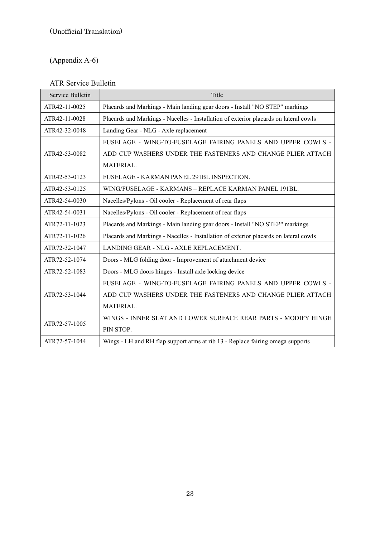# (Appendix A-6)

### ATR Service Bulletin

| Service Bulletin | Title                                                                                 |
|------------------|---------------------------------------------------------------------------------------|
| ATR42-11-0025    | Placards and Markings - Main landing gear doors - Install "NO STEP" markings          |
| ATR42-11-0028    | Placards and Markings - Nacelles - Installation of exterior placards on lateral cowls |
| ATR42-32-0048    | Landing Gear - NLG - Axle replacement                                                 |
|                  | FUSELAGE - WING-TO-FUSELAGE FAIRING PANELS AND UPPER COWLS -                          |
| ATR42-53-0082    | ADD CUP WASHERS UNDER THE FASTENERS AND CHANGE PLIER ATTACH                           |
|                  | MATERIAL.                                                                             |
| ATR42-53-0123    | FUSELAGE - KARMAN PANEL 291BL INSPECTION.                                             |
| ATR42-53-0125    | WING/FUSELAGE - KARMANS – REPLACE KARMAN PANEL 191BL.                                 |
| ATR42-54-0030    | Nacelles/Pylons - Oil cooler - Replacement of rear flaps                              |
| ATR42-54-0031    | Nacelles/Pylons - Oil cooler - Replacement of rear flaps                              |
| ATR72-11-1023    | Placards and Markings - Main landing gear doors - Install "NO STEP" markings          |
| ATR72-11-1026    | Placards and Markings - Nacelles - Installation of exterior placards on lateral cowls |
| ATR72-32-1047    | LANDING GEAR - NLG - AXLE REPLACEMENT.                                                |
| ATR72-52-1074    | Doors - MLG folding door - Improvement of attachment device                           |
| ATR72-52-1083    | Doors - MLG doors hinges - Install axle locking device                                |
| ATR72-53-1044    | FUSELAGE - WING-TO-FUSELAGE FAIRING PANELS AND UPPER COWLS -                          |
|                  | ADD CUP WASHERS UNDER THE FASTENERS AND CHANGE PLIER ATTACH                           |
|                  | MATERIAL.                                                                             |
| ATR72-57-1005    | WINGS - INNER SLAT AND LOWER SURFACE REAR PARTS - MODIFY HINGE                        |
|                  | PIN STOP.                                                                             |
| ATR72-57-1044    | Wings - LH and RH flap support arms at rib 13 - Replace fairing omega supports        |